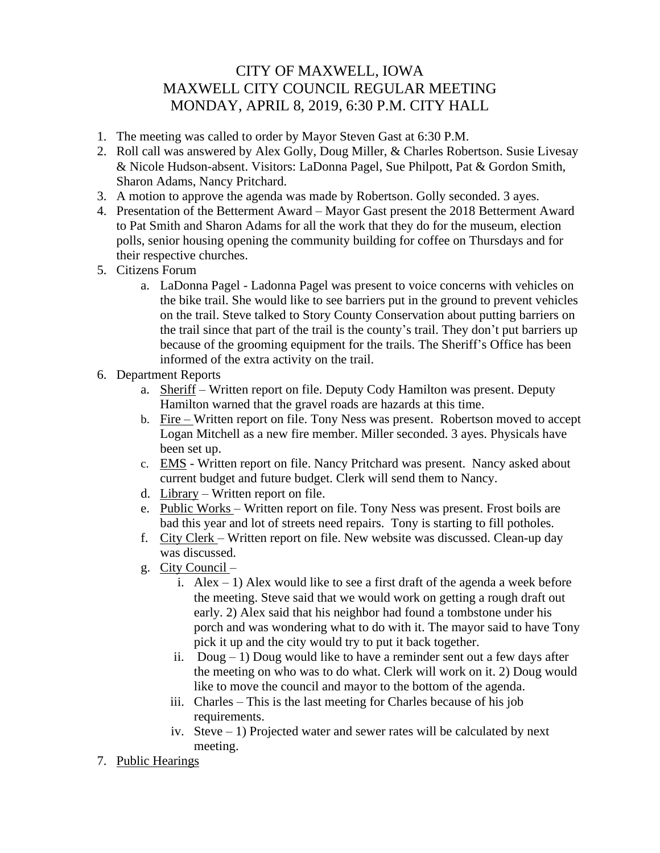## CITY OF MAXWELL, IOWA MAXWELL CITY COUNCIL REGULAR MEETING MONDAY, APRIL 8, 2019, 6:30 P.M. CITY HALL

- 1. The meeting was called to order by Mayor Steven Gast at 6:30 P.M.
- 2. Roll call was answered by Alex Golly, Doug Miller, & Charles Robertson. Susie Livesay & Nicole Hudson-absent. Visitors: LaDonna Pagel, Sue Philpott, Pat & Gordon Smith, Sharon Adams, Nancy Pritchard.
- 3. A motion to approve the agenda was made by Robertson. Golly seconded. 3 ayes.
- 4. Presentation of the Betterment Award Mayor Gast present the 2018 Betterment Award to Pat Smith and Sharon Adams for all the work that they do for the museum, election polls, senior housing opening the community building for coffee on Thursdays and for their respective churches.
- 5. Citizens Forum
	- a. LaDonna Pagel Ladonna Pagel was present to voice concerns with vehicles on the bike trail. She would like to see barriers put in the ground to prevent vehicles on the trail. Steve talked to Story County Conservation about putting barriers on the trail since that part of the trail is the county's trail. They don't put barriers up because of the grooming equipment for the trails. The Sheriff's Office has been informed of the extra activity on the trail.
- 6. Department Reports
	- a. Sheriff Written report on file. Deputy Cody Hamilton was present. Deputy Hamilton warned that the gravel roads are hazards at this time.
	- b. Fire Written report on file. Tony Ness was present. Robertson moved to accept Logan Mitchell as a new fire member. Miller seconded. 3 ayes. Physicals have been set up.
	- c. EMS Written report on file. Nancy Pritchard was present. Nancy asked about current budget and future budget. Clerk will send them to Nancy.
	- d. Library Written report on file.
	- e. Public Works Written report on file. Tony Ness was present. Frost boils are bad this year and lot of streets need repairs. Tony is starting to fill potholes.
	- f. City Clerk Written report on file. New website was discussed. Clean-up day was discussed.
	- g. City Council
		- i. Alex  $-1$ ) Alex would like to see a first draft of the agenda a week before the meeting. Steve said that we would work on getting a rough draft out early. 2) Alex said that his neighbor had found a tombstone under his porch and was wondering what to do with it. The mayor said to have Tony pick it up and the city would try to put it back together.
		- ii. Doug 1) Doug would like to have a reminder sent out a few days after the meeting on who was to do what. Clerk will work on it. 2) Doug would like to move the council and mayor to the bottom of the agenda.
		- iii. Charles This is the last meeting for Charles because of his job requirements.
		- iv. Steve 1) Projected water and sewer rates will be calculated by next meeting.
- 7. Public Hearings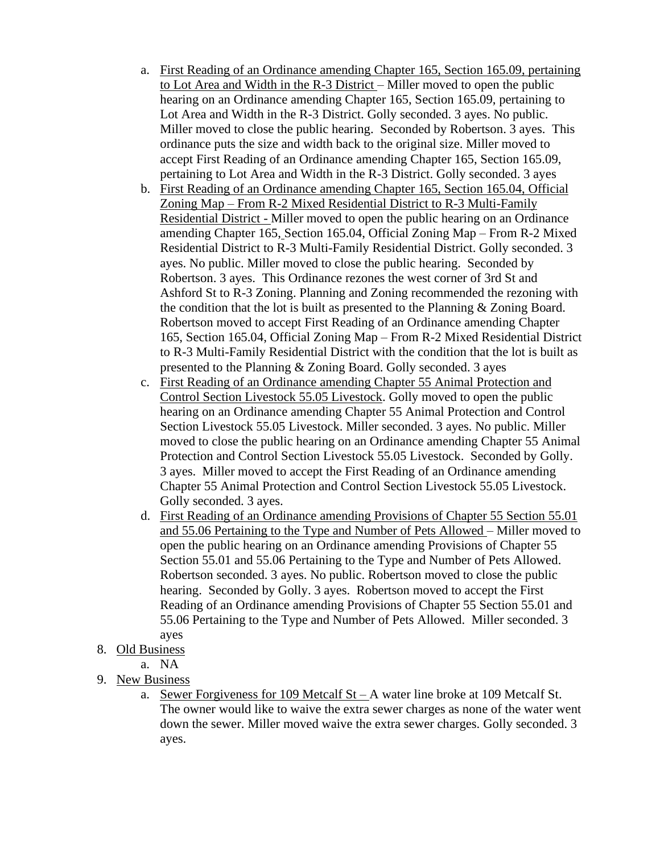- a. First Reading of an Ordinance amending Chapter 165, Section 165.09, pertaining to Lot Area and Width in the R-3 District – Miller moved to open the public hearing on an Ordinance amending Chapter 165, Section 165.09, pertaining to Lot Area and Width in the R-3 District. Golly seconded. 3 ayes. No public. Miller moved to close the public hearing. Seconded by Robertson. 3 ayes. This ordinance puts the size and width back to the original size. Miller moved to accept First Reading of an Ordinance amending Chapter 165, Section 165.09, pertaining to Lot Area and Width in the R-3 District. Golly seconded. 3 ayes
- b. First Reading of an Ordinance amending Chapter 165, Section 165.04, Official Zoning Map – From R-2 Mixed Residential District to R-3 Multi-Family Residential District - Miller moved to open the public hearing on an Ordinance amending Chapter 165, Section 165.04, Official Zoning Map – From R-2 Mixed Residential District to R-3 Multi-Family Residential District. Golly seconded. 3 ayes. No public. Miller moved to close the public hearing. Seconded by Robertson. 3 ayes. This Ordinance rezones the west corner of 3rd St and Ashford St to R-3 Zoning. Planning and Zoning recommended the rezoning with the condition that the lot is built as presented to the Planning & Zoning Board. Robertson moved to accept First Reading of an Ordinance amending Chapter 165, Section 165.04, Official Zoning Map – From R-2 Mixed Residential District to R-3 Multi-Family Residential District with the condition that the lot is built as presented to the Planning & Zoning Board. Golly seconded. 3 ayes
- c. First Reading of an Ordinance amending Chapter 55 Animal Protection and Control Section Livestock 55.05 Livestock. Golly moved to open the public hearing on an Ordinance amending Chapter 55 Animal Protection and Control Section Livestock 55.05 Livestock. Miller seconded. 3 ayes. No public. Miller moved to close the public hearing on an Ordinance amending Chapter 55 Animal Protection and Control Section Livestock 55.05 Livestock. Seconded by Golly. 3 ayes. Miller moved to accept the First Reading of an Ordinance amending Chapter 55 Animal Protection and Control Section Livestock 55.05 Livestock. Golly seconded. 3 ayes.
- d. First Reading of an Ordinance amending Provisions of Chapter 55 Section 55.01 and 55.06 Pertaining to the Type and Number of Pets Allowed – Miller moved to open the public hearing on an Ordinance amending Provisions of Chapter 55 Section 55.01 and 55.06 Pertaining to the Type and Number of Pets Allowed. Robertson seconded. 3 ayes. No public. Robertson moved to close the public hearing. Seconded by Golly. 3 ayes. Robertson moved to accept the First Reading of an Ordinance amending Provisions of Chapter 55 Section 55.01 and 55.06 Pertaining to the Type and Number of Pets Allowed. Miller seconded. 3 ayes
- 8. Old Business
	- a. NA
- 9. New Business
	- a. Sewer Forgiveness for 109 Metcalf St A water line broke at 109 Metcalf St. The owner would like to waive the extra sewer charges as none of the water went down the sewer. Miller moved waive the extra sewer charges. Golly seconded. 3 ayes.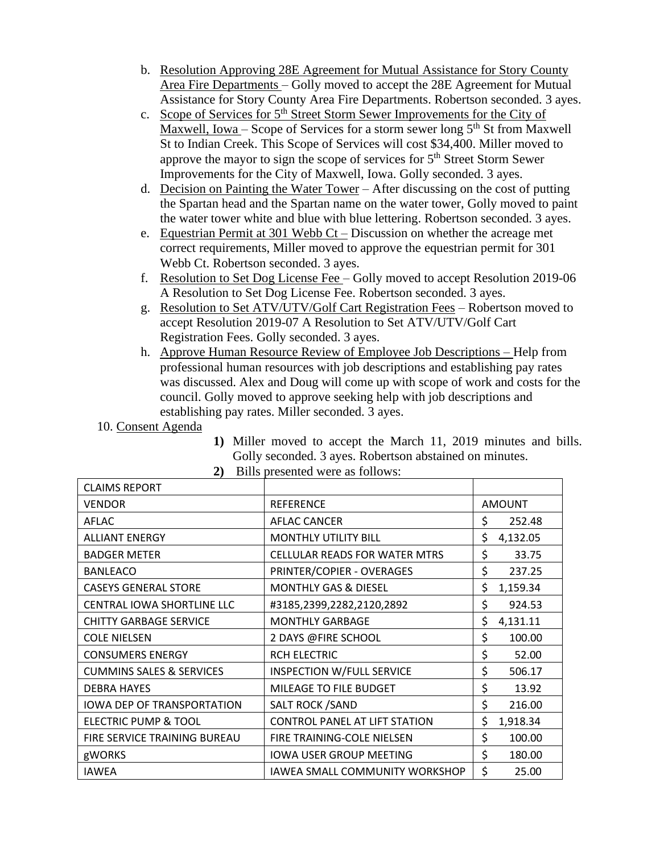- b. Resolution Approving 28E Agreement for Mutual Assistance for Story County Area Fire Departments – Golly moved to accept the 28E Agreement for Mutual Assistance for Story County Area Fire Departments. Robertson seconded. 3 ayes.
- c. Scope of Services for 5<sup>th</sup> Street Storm Sewer Improvements for the City of Maxwell, Iowa – Scope of Services for a storm sewer long  $5<sup>th</sup>$  St from Maxwell St to Indian Creek. This Scope of Services will cost \$34,400. Miller moved to approve the mayor to sign the scope of services for 5<sup>th</sup> Street Storm Sewer Improvements for the City of Maxwell, Iowa. Golly seconded. 3 ayes.
- d. Decision on Painting the Water Tower After discussing on the cost of putting the Spartan head and the Spartan name on the water tower, Golly moved to paint the water tower white and blue with blue lettering. Robertson seconded. 3 ayes.
- e. Equestrian Permit at 301 Webb Ct Discussion on whether the acreage met correct requirements, Miller moved to approve the equestrian permit for 301 Webb Ct. Robertson seconded. 3 ayes.
- f. Resolution to Set Dog License Fee Golly moved to accept Resolution 2019-06 A Resolution to Set Dog License Fee. Robertson seconded. 3 ayes.
- g. Resolution to Set ATV/UTV/Golf Cart Registration Fees Robertson moved to accept Resolution 2019-07 A Resolution to Set ATV/UTV/Golf Cart Registration Fees. Golly seconded. 3 ayes.
- h. Approve Human Resource Review of Employee Job Descriptions Help from professional human resources with job descriptions and establishing pay rates was discussed. Alex and Doug will come up with scope of work and costs for the council. Golly moved to approve seeking help with job descriptions and establishing pay rates. Miller seconded. 3 ayes.
- 10. Consent Agenda
- **1)** Miller moved to accept the March 11, 2019 minutes and bills. Golly seconded. 3 ayes. Robertson abstained on minutes.

| <b>CLAIMS REPORT</b>                |                                       |                |
|-------------------------------------|---------------------------------------|----------------|
| <b>VENDOR</b>                       | <b>REFERENCE</b>                      | <b>AMOUNT</b>  |
| AFLAC                               | <b>AFLAC CANCER</b>                   | \$<br>252.48   |
| <b>ALLIANT ENERGY</b>               | <b>MONTHLY UTILITY BILL</b>           | \$<br>4,132.05 |
| <b>BADGER METER</b>                 | <b>CELLULAR READS FOR WATER MTRS</b>  | \$<br>33.75    |
| <b>BANLEACO</b>                     | PRINTER/COPIER - OVERAGES             | \$<br>237.25   |
| <b>CASEYS GENERAL STORE</b>         | <b>MONTHLY GAS &amp; DIESEL</b>       | \$<br>1,159.34 |
| CENTRAL IOWA SHORTLINE LLC          | #3185,2399,2282,2120,2892             | \$<br>924.53   |
| <b>CHITTY GARBAGE SERVICE</b>       | <b>MONTHLY GARBAGE</b>                | \$<br>4,131.11 |
| <b>COLE NIELSEN</b>                 | 2 DAYS @FIRE SCHOOL                   | \$<br>100.00   |
| <b>CONSUMERS ENERGY</b>             | <b>RCH ELECTRIC</b>                   | \$<br>52.00    |
| <b>CUMMINS SALES &amp; SERVICES</b> | INSPECTION W/FULL SERVICE             | \$<br>506.17   |
| <b>DEBRA HAYES</b>                  | MILEAGE TO FILE BUDGET                | \$<br>13.92    |
| <b>IOWA DEP OF TRANSPORTATION</b>   | SALT ROCK / SAND                      | \$<br>216.00   |
| ELECTRIC PUMP & TOOL                | <b>CONTROL PANEL AT LIFT STATION</b>  | \$<br>1,918.34 |
| FIRE SERVICE TRAINING BUREAU        | FIRE TRAINING-COLE NIELSEN            | \$<br>100.00   |
| gWORKS                              | <b>IOWA USER GROUP MEETING</b>        | \$<br>180.00   |
| <b>IAWEA</b>                        | <b>IAWEA SMALL COMMUNITY WORKSHOP</b> | \$<br>25.00    |

**2)** Bills presented were as follows: